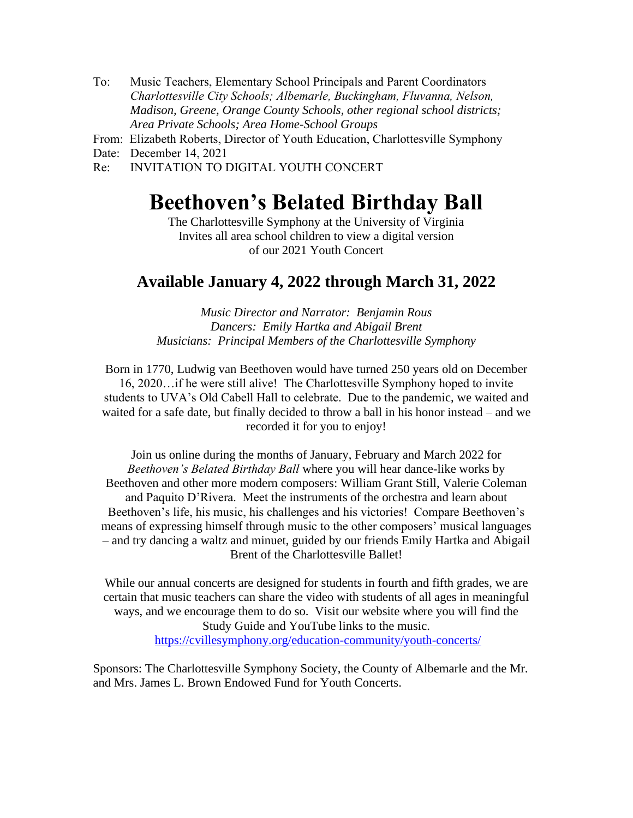- To: Music Teachers, Elementary School Principals and Parent Coordinators *Charlottesville City Schools; Albemarle, Buckingham, Fluvanna, Nelson, Madison, Greene, Orange County Schools, other regional school districts; Area Private Schools; Area Home-School Groups*
- From: Elizabeth Roberts, Director of Youth Education, Charlottesville Symphony

Date: December 14, 2021

Re: INVITATION TO DIGITAL YOUTH CONCERT

# **Beethoven's Belated Birthday Ball**

The Charlottesville Symphony at the University of Virginia Invites all area school children to view a digital version of our 2021 Youth Concert

# **Available January 4, 2022 through March 31, 2022**

*Music Director and Narrator: Benjamin Rous Dancers: Emily Hartka and Abigail Brent Musicians: Principal Members of the Charlottesville Symphony*

Born in 1770, Ludwig van Beethoven would have turned 250 years old on December 16, 2020…if he were still alive! The Charlottesville Symphony hoped to invite students to UVA's Old Cabell Hall to celebrate. Due to the pandemic, we waited and waited for a safe date, but finally decided to throw a ball in his honor instead – and we recorded it for you to enjoy!

Join us online during the months of January, February and March 2022 for *Beethoven's Belated Birthday Ball* where you will hear dance-like works by Beethoven and other more modern composers: William Grant Still, Valerie Coleman and Paquito D'Rivera. Meet the instruments of the orchestra and learn about Beethoven's life, his music, his challenges and his victories! Compare Beethoven's means of expressing himself through music to the other composers' musical languages – and try dancing a waltz and minuet, guided by our friends Emily Hartka and Abigail Brent of the Charlottesville Ballet!

While our annual concerts are designed for students in fourth and fifth grades, we are certain that music teachers can share the video with students of all ages in meaningful ways, and we encourage them to do so. Visit our website where you will find the Study Guide and YouTube links to the music. <https://cvillesymphony.org/education-community/youth-concerts/>

Sponsors: The Charlottesville Symphony Society, the County of Albemarle and the Mr. and Mrs. James L. Brown Endowed Fund for Youth Concerts.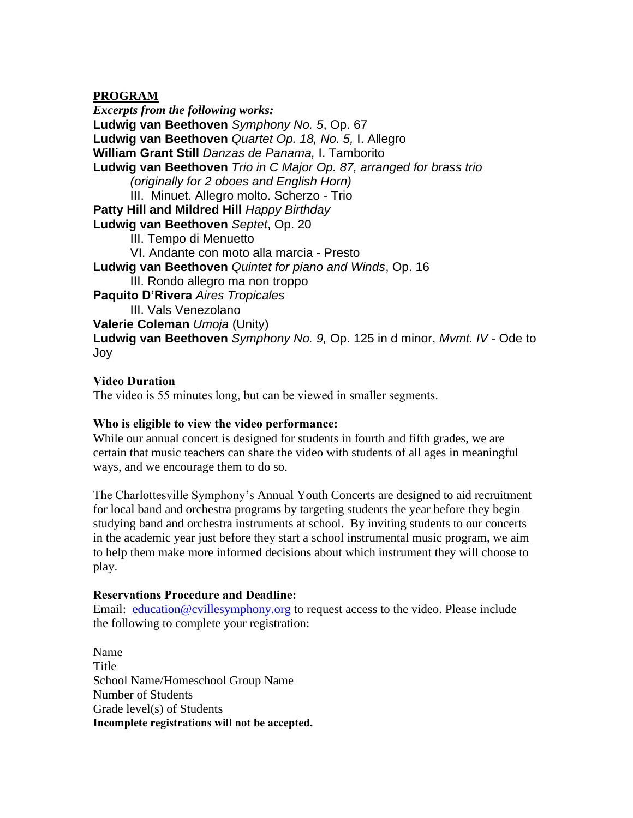## **PROGRAM**

*Excerpts from the following works:* **Ludwig van Beethoven** *Symphony No. 5*, Op. 67 **Ludwig van Beethoven** *Quartet Op. 18, No. 5,* I. Allegro **William Grant Still** *Danzas de Panama,* I. Tamborito **Ludwig van Beethoven** *Trio in C Major Op. 87, arranged for brass trio (originally for 2 oboes and English Horn)*  III. Minuet. Allegro molto. Scherzo - Trio **Patty Hill and Mildred Hill** *Happy Birthday* **Ludwig van Beethoven** *Septet*, Op. 20 III. Tempo di Menuetto VI. Andante con moto alla marcia - Presto **Ludwig van Beethoven** *Quintet for piano and Winds*, Op. 16 III. Rondo allegro ma non troppo **Paquito D'Rivera** *Aires Tropicales* III. Vals Venezolano **Valerie Coleman** *Umoja* (Unity) **Ludwig van Beethoven** *Symphony No. 9,* Op. 125 in d minor, *Mvmt. IV* - Ode to Joy

#### **Video Duration**

The video is 55 minutes long, but can be viewed in smaller segments.

#### **Who is eligible to view the video performance:**

While our annual concert is designed for students in fourth and fifth grades, we are certain that music teachers can share the video with students of all ages in meaningful ways, and we encourage them to do so.

The Charlottesville Symphony's Annual Youth Concerts are designed to aid recruitment for local band and orchestra programs by targeting students the year before they begin studying band and orchestra instruments at school. By inviting students to our concerts in the academic year just before they start a school instrumental music program, we aim to help them make more informed decisions about which instrument they will choose to play.

#### **Reservations Procedure and Deadline:**

Email: [education@cvillesymphony.org](mailto:education@cvillesymphony.org) to request access to the video. Please include the following to complete your registration:

Name Title School Name/Homeschool Group Name Number of Students Grade level(s) of Students **Incomplete registrations will not be accepted.**